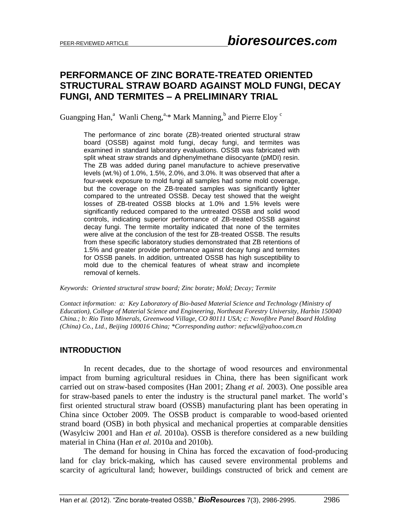## **PERFORMANCE OF ZINC BORATE-TREATED ORIENTED STRUCTURAL STRAW BOARD AGAINST MOLD FUNGI, DECAY FUNGI, AND TERMITES – A PRELIMINARY TRIAL**

Guangping Han,<sup>a</sup> Wanli Cheng,<sup>a,\*</sup> Mark Manning,<sup>b</sup> and Pierre Eloy<sup>c</sup>

The performance of zinc borate (ZB)-treated oriented structural straw board (OSSB) against mold fungi, decay fungi, and termites was examined in standard laboratory evaluations. OSSB was fabricated with split wheat straw strands and diphenylmethane diisocyante (pMDI) resin. The ZB was added during panel manufacture to achieve preservative levels (wt.%) of 1.0%, 1.5%, 2.0%, and 3.0%. It was observed that after a four-week exposure to mold fungi all samples had some mold coverage, but the coverage on the ZB-treated samples was significantly lighter compared to the untreated OSSB. Decay test showed that the weight losses of ZB-treated OSSB blocks at 1.0% and 1.5% levels were significantly reduced compared to the untreated OSSB and solid wood controls, indicating superior performance of ZB-treated OSSB against decay fungi. The termite mortality indicated that none of the termites were alive at the conclusion of the test for ZB-treated OSSB. The results from these specific laboratory studies demonstrated that ZB retentions of 1.5% and greater provide performance against decay fungi and termites for OSSB panels. In addition, untreated OSSB has high susceptibility to mold due to the chemical features of wheat straw and incomplete removal of kernels.

*Keywords: Oriented structural straw board; Zinc borate; Mold; Decay; Termite*

*Contact information: a: Key Laboratory of Bio-based Material Science and Technology (Ministry of Education), College of Material Science and Engineering, Northeast Forestry University, Harbin 150040 China.; b: Rio Tinto Minerals, Greenwood Village, CO 80111 USA; c: Novofibre Panel Board Holding (China) Co., Ltd., Beijing 100016 China; \*Corresponding author: nefucwl@yahoo.com.cn*

#### **INTRODUCTION**

In recent decades, due to the shortage of wood resources and environmental impact from burning agricultural residues in China, there has been significant work carried out on straw-based composites (Han 2001; Zhang *et al.* 2003). One possible area for straw-based panels to enter the industry is the structural panel market. The world's first oriented structural straw board (OSSB) manufacturing plant has been operating in China since October 2009. The OSSB product is comparable to wood-based oriented strand board (OSB) in both physical and mechanical properties at comparable densities (Wasylciw 2001 and Han *et al.* 2010a). OSSB is therefore considered as a new building material in China (Han *et al.* 2010a and 2010b).

The demand for housing in China has forced the excavation of food-producing land for clay brick-making, which has caused severe environmental problems and scarcity of agricultural land; however, buildings constructed of brick and cement are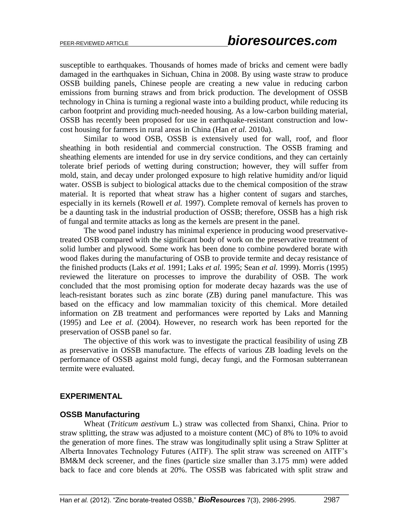susceptible to earthquakes. Thousands of homes made of bricks and cement were badly damaged in the earthquakes in Sichuan, China in 2008. By using waste straw to produce OSSB building panels, Chinese people are creating a new value in reducing carbon emissions from burning straws and from brick production. The development of OSSB technology in China is turning a regional waste into a building product, while reducing its carbon footprint and providing much-needed housing. As a low-carbon building material, OSSB has recently been proposed for use in earthquake-resistant construction and lowcost housing for farmers in rural areas in China (Han *et al.* 2010a).

Similar to wood OSB, OSSB is extensively used for wall, roof, and floor sheathing in both residential and commercial construction. The OSSB framing and sheathing elements are intended for use in dry service conditions, and they can certainly tolerate brief periods of wetting during construction; however, they will suffer from mold, stain, and decay under prolonged exposure to high relative humidity and/or liquid water. OSSB is subject to biological attacks due to the chemical composition of the straw material. It is reported that wheat straw has a higher content of sugars and starches, especially in its kernels (Rowell *et al.* 1997). Complete removal of kernels has proven to be a daunting task in the industrial production of OSSB; therefore, OSSB has a high risk of fungal and termite attacks as long as the kernels are present in the panel.

The wood panel industry has minimal experience in producing wood preservativetreated OSB compared with the significant body of work on the preservative treatment of solid lumber and plywood. Some work has been done to combine powdered borate with wood flakes during the manufacturing of OSB to provide termite and decay resistance of the finished products (Laks *et al.* 1991; Laks *et al.* 1995; Sean *et al.* 1999). Morris (1995) reviewed the literature on processes to improve the durability of OSB. The work concluded that the most promising option for moderate decay hazards was the use of leach-resistant borates such as zinc borate (ZB) during panel manufacture. This was based on the efficacy and low mammalian toxicity of this chemical. More detailed information on ZB treatment and performances were reported by Laks and Manning (1995) and Lee *et al.* (2004). However, no research work has been reported for the preservation of OSSB panel so far.

The objective of this work was to investigate the practical feasibility of using ZB as preservative in OSSB manufacture. The effects of various ZB loading levels on the performance of OSSB against mold fungi, decay fungi, and the Formosan subterranean termite were evaluated.

#### **EXPERIMENTAL**

#### **OSSB Manufacturing**

Wheat (*Triticum aestivum* L.) straw was collected from Shanxi, China. Prior to straw splitting, the straw was adjusted to a moisture content (MC) of 8% to 10% to avoid the generation of more fines. The straw was longitudinally split using a Straw Splitter at Alberta Innovates Technology Futures (AITF). The split straw was screened on AITF's BM&M deck screener, and the fines (particle size smaller than 3.175 mm) were added back to face and core blends at 20%. The OSSB was fabricated with split straw and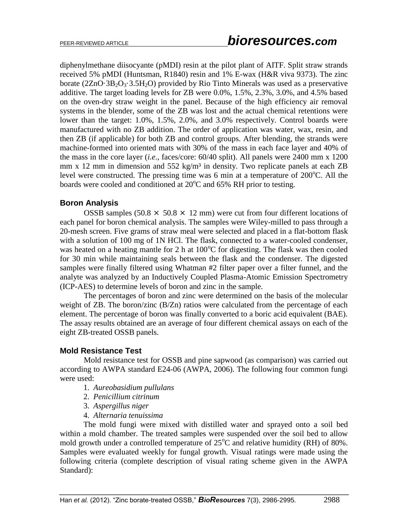diphenylmethane diisocyante (pMDI) resin at the pilot plant of AITF. Split straw strands received 5% pMDI (Huntsman, R1840) resin and 1% E-wax (H&R viva 9373). The zinc borate  $(2ZnO·3B<sub>2</sub>O<sub>3</sub>·3.5H<sub>2</sub>O)$  provided by Rio Tinto Minerals was used as a preservative additive. The target loading levels for ZB were 0.0%, 1.5%, 2.3%, 3.0%, and 4.5% based on the oven-dry straw weight in the panel. Because of the high efficiency air removal systems in the blender, some of the ZB was lost and the actual chemical retentions were lower than the target: 1.0%, 1.5%, 2.0%, and 3.0% respectively. Control boards were manufactured with no ZB addition. The order of application was water, wax, resin, and then ZB (if applicable) for both ZB and control groups. After blending, the strands were machine-formed into oriented mats with 30% of the mass in each face layer and 40% of the mass in the core layer (*i.e*., faces/core: 60/40 split). All panels were 2400 mm x 1200 mm x 12 mm in dimension and  $552 \text{ kg/m}^3$  in density. Two replicate panels at each ZB level were constructed. The pressing time was 6 min at a temperature of  $200^{\circ}$ C. All the boards were cooled and conditioned at  $20^{\circ}$ C and 65% RH prior to testing.

## **Boron Analysis**

OSSB samples (50.8  $\times$  50.8  $\times$  12 mm) were cut from four different locations of each panel for boron chemical analysis. The samples were Wiley-milled to pass through a 20-mesh screen. Five grams of straw meal were selected and placed in a flat-bottom flask with a solution of 100 mg of 1N HCl. The flask, connected to a water-cooled condenser, was heated on a heating mantle for 2 h at  $100^{\circ}$ C for digesting. The flask was then cooled for 30 min while maintaining seals between the flask and the condenser. The digested samples were finally filtered using Whatman #2 filter paper over a filter funnel, and the analyte was analyzed by an Inductively Coupled Plasma-Atomic Emission Spectrometry (ICP-AES) to determine levels of boron and zinc in the sample.

The percentages of boron and zinc were determined on the basis of the molecular weight of ZB. The boron/zinc (B/Zn) ratios were calculated from the percentage of each element. The percentage of boron was finally converted to a boric acid equivalent (BAE). The assay results obtained are an average of four different chemical assays on each of the eight ZB-treated OSSB panels.

## **Mold Resistance Test**

Mold resistance test for OSSB and pine sapwood (as comparison) was carried out according to AWPA standard E24-06 (AWPA, 2006). The following four common fungi were used:

- 1. *Aureobasidium pullulans*
- 2. *Penicillium citrinum*
- 3. *Aspergillus niger*
- 4. *Alternaria tenuissima*

The mold fungi were mixed with distilled water and sprayed onto a soil bed within a mold chamber. The treated samples were suspended over the soil bed to allow mold growth under a controlled temperature of  $25^{\circ}$ C and relative humidity (RH) of 80%. Samples were evaluated weekly for fungal growth. Visual ratings were made using the following criteria (complete description of visual rating scheme given in the AWPA Standard):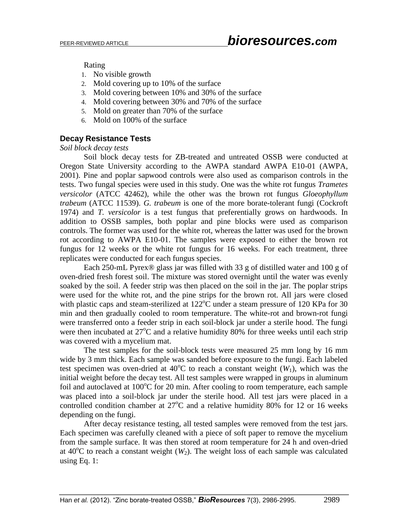# PEER-REVIEWED ARTICLE *bioresources.com*

Rating

- 1. No visible growth
- 2. Mold covering up to 10% of the surface
- 3. Mold covering between 10% and 30% of the surface
- 4. Mold covering between 30% and 70% of the surface
- 5. Mold on greater than 70% of the surface
- 6. Mold on 100% of the surface

## **Decay Resistance Tests**

*Soil block decay tests*

Soil block decay tests for ZB-treated and untreated OSSB were conducted at Oregon State University according to the AWPA standard AWPA E10-01 (AWPA, 2001). Pine and poplar sapwood controls were also used as comparison controls in the tests. Two fungal species were used in this study. One was the white rot fungus *Trametes versicolor* (ATCC 42462), while the other was the brown rot fungus *Gloeophyllum trabeum* (ATCC 11539). *G. trabeum* is one of the more borate-tolerant fungi (Cockroft 1974) and *T. versicolor* is a test fungus that preferentially grows on hardwoods. In addition to OSSB samples, both poplar and pine blocks were used as comparison controls. The former was used for the white rot, whereas the latter was used for the brown rot according to AWPA E10-01. The samples were exposed to either the brown rot fungus for 12 weeks or the white rot fungus for 16 weeks. For each treatment, three replicates were conducted for each fungus species.

Each 250-mL Pyrex® glass jar was filled with 33 g of distilled water and 100 g of oven-dried fresh forest soil. The mixture was stored overnight until the water was evenly soaked by the soil. A feeder strip was then placed on the soil in the jar. The poplar strips were used for the white rot, and the pine strips for the brown rot. All jars were closed with plastic caps and steam-sterilized at  $122^{\circ}$ C under a steam pressure of 120 KPa for 30 min and then gradually cooled to room temperature. The white-rot and brown-rot fungi were transferred onto a feeder strip in each soil-block jar under a sterile hood. The fungi were then incubated at  $27^{\circ}$ C and a relative humidity 80% for three weeks until each strip was covered with a mycelium mat.

The test samples for the soil-block tests were measured 25 mm long by 16 mm wide by 3 mm thick. Each sample was sanded before exposure to the fungi. Each labeled test specimen was oven-dried at  $40^{\circ}$ C to reach a constant weight ( $W_1$ ), which was the initial weight before the decay test. All test samples were wrapped in groups in aluminum foil and autoclaved at  $100^{\circ}$ C for 20 min. After cooling to room temperature, each sample was placed into a soil-block jar under the sterile hood. All test jars were placed in a controlled condition chamber at  $27^{\circ}$ C and a relative humidity 80% for 12 or 16 weeks depending on the fungi.

After decay resistance testing, all tested samples were removed from the test jars. Each specimen was carefully cleaned with a piece of soft paper to remove the mycelium from the sample surface. It was then stored at room temperature for 24 h and oven-dried at  $40^{\circ}$ C to reach a constant weight (*W*<sub>2</sub>). The weight loss of each sample was calculated using Eq. 1: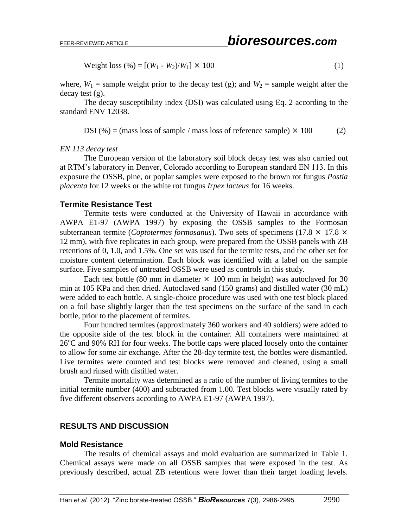Weight loss (
$$
\%
$$
) = [(W<sub>1</sub> - W<sub>2</sub>)/W<sub>1</sub>] × 100 (1)

where,  $W_1$  = sample weight prior to the decay test (g); and  $W_2$  = sample weight after the decay test (g).

The decay susceptibility index (DSI) was calculated using Eq. 2 according to the standard ENV 12038.

DSI (%) = (mass loss of sample / mass loss of reference sample)  $\times$  100 (2)

#### *EN 113 decay test*

The European version of the laboratory soil block decay test was also carried out at RTM's laboratory in Denver, Colorado according to European standard EN 113. In this exposure the OSSB, pine, or poplar samples were exposed to the brown rot fungus *Postia placenta* for 12 weeks or the white rot fungus *Irpex lacteus* for 16 weeks.

#### **Termite Resistance Test**

Termite tests were conducted at the University of Hawaii in accordance with AWPA E1-97 (AWPA 1997) by exposing the OSSB samples to the Formosan subterranean termite (*Coptotermes formosanus*). Two sets of specimens (17.8  $\times$  17.8  $\times$ 12 mm), with five replicates in each group, were prepared from the OSSB panels with ZB retentions of 0, 1.0, and 1.5%. One set was used for the termite tests, and the other set for moisture content determination. Each block was identified with a label on the sample surface. Five samples of untreated OSSB were used as controls in this study.

Each test bottle (80 mm in diameter  $\times$  100 mm in height) was autoclaved for 30 min at 105 KPa and then dried. Autoclaved sand (150 grams) and distilled water (30 mL) were added to each bottle. A single-choice procedure was used with one test block placed on a foil base slightly larger than the test specimens on the surface of the sand in each bottle, prior to the placement of termites.

Four hundred termites (approximately 360 workers and 40 soldiers) were added to the opposite side of the test block in the container. All containers were maintained at  $26^{\circ}$ C and 90% RH for four weeks. The bottle caps were placed loosely onto the container to allow for some air exchange. After the 28-day termite test, the bottles were dismantled. Live termites were counted and test blocks were removed and cleaned, using a small brush and rinsed with distilled water.

Termite mortality was determined as a ratio of the number of living termites to the initial termite number (400) and subtracted from 1.00. Test blocks were visually rated by five different observers according to AWPA E1-97 (AWPA 1997).

#### **RESULTS AND DISCUSSION**

#### **Mold Resistance**

The results of chemical assays and mold evaluation are summarized in Table 1. Chemical assays were made on all OSSB samples that were exposed in the test. As previously described, actual ZB retentions were lower than their target loading levels.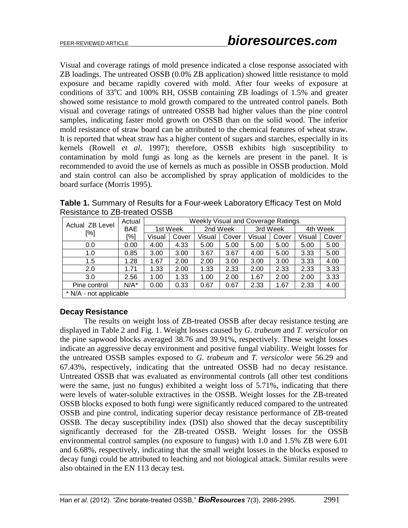Visual and coverage ratings of mold presence indicated a close response associated with ZB loadings. The untreated OSSB (0.0% ZB application) showed little resistance to mold exposure and became rapidly covered with mold. After four weeks of exposure at conditions of  $33^{\circ}$ C and  $100\%$  RH, OSSB containing ZB loadings of 1.5% and greater showed some resistance to mold growth compared to the untreated control panels. Both visual and coverage ratings of untreated OSSB had higher values than the pine control samples, indicating faster mold growth on OSSB than on the solid wood. The inferior mold resistance of straw board can be attributed to the chemical features of wheat straw. It is reported that wheat straw has a higher content of sugars and starches, especially in its kernels (Rowell *et al.* 1997); therefore, OSSB exhibits high susceptibility to contamination by mold fungi as long as the kernels are present in the panel. It is recommended to avoid the use of kernels as much as possible in OSSB production. Mold and stain control can also be accomplished by spray application of moldicides to the board surface (Morris 1995).

**Table 1.** Summary of Results for a Four-week Laboratory Efficacy Test on Mold Resistance to ZB-treated OSSB

| Actual ZB Level<br>[%] | Actual | Weekly Visual and Coverage Ratings |       |          |       |          |       |          |       |
|------------------------|--------|------------------------------------|-------|----------|-------|----------|-------|----------|-------|
|                        | BAE    | 1st Week                           |       | 2nd Week |       | 3rd Week |       | 4th Week |       |
|                        | [%]    | Visual                             | Cover | Visual   | Cover | Visual   | Cover | Visual   | Cover |
| 0.0                    | 0.00   | 4.00                               | 4.33  | 5.00     | 5.00  | 5.00     | 5.00  | 5.00     | 5.00  |
| 1.0                    | 0.85   | 3.00                               | 3.00  | 3.67     | 3.67  | 4.00     | 5.00  | 3.33     | 5.00  |
| 1.5                    | 1.28   | 1.67                               | 2.00  | 2.00     | 3.00  | 3.00     | 3.00  | 3.33     | 4.00  |
| 2.0                    | 1.71   | 1.33                               | 2.00  | 1.33     | 2.33  | 2.00     | 2.33  | 2.33     | 3.33  |
| 3.0                    | 2.56   | 1.00                               | 1.33  | 1.00     | 2.00  | 1.67     | 2.00  | 2.00     | 3.33  |
| Pine control           | N/A*   | 0.00                               | 0.33  | 0.67     | 0.67  | 2.33     | 1.67  | 2.33     | 4.00  |
| * N/A - not applicable |        |                                    |       |          |       |          |       |          |       |

## **Decay Resistance**

The results on weight loss of ZB-treated OSSB after decay resistance testing are displayed in Table 2 and Fig. 1. Weight losses caused by *G. trabeum* and *T. versicolor* on the pine sapwood blocks averaged 38.76 and 39.91%, respectively. These weight losses indicate an aggressive decay environment and positive fungal viability. Weight losses for the untreated OSSB samples exposed to *G. trabeum* and *T. versicolor* were 56.29 and 67.43%, respectively, indicating that the untreated OSSB had no decay resistance. Untreated OSSB that was evaluated as environmental controls (all other test conditions were the same, just no fungus) exhibited a weight loss of 5.71%, indicating that there were levels of water-soluble extractives in the OSSB. Weight losses for the ZB-treated OSSB blocks exposed to both fungi were significantly reduced compared to the untreated OSSB and pine control, indicating superior decay resistance performance of ZB-treated OSSB. The decay susceptibility index (DSI) also showed that the decay susceptibility significantly decreased for the ZB-treated OSSB. Weight losses for the OSSB environmental control samples (no exposure to fungus) with 1.0 and 1.5% ZB were 6.01 and 6.68%, respectively, indicating that the small weight losses in the blocks exposed to decay fungi could be attributed to leaching and not biological attack. Similar results were also obtained in the EN 113 decay test.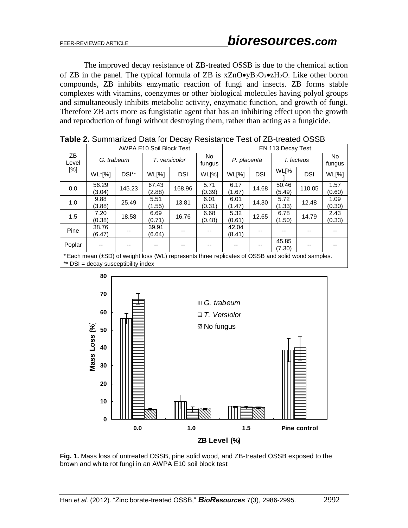The improved decay resistance of ZB-treated OSSB is due to the chemical action of ZB in the panel. The typical formula of ZB is  $xZnO\bullet yB_2O_3\bullet zH_2O$ . Like other boron compounds, ZB inhibits enzymatic reaction of fungi and insects. ZB forms stable complexes with vitamins, coenzymes or other biological molecules having polyol groups and simultaneously inhibits metabolic activity, enzymatic function, and growth of fungi. Therefore ZB acts more as fungistatic agent that has an inhibiting effect upon the growth and reproduction of fungi without destroying them, rather than acting as a fungicide.

| ZB<br>Level<br>[%]                                                                                | AWPA E10 Soil Block Test |        |                    |            |                | EN 113 Decay Test |            |                 |            |                |
|---------------------------------------------------------------------------------------------------|--------------------------|--------|--------------------|------------|----------------|-------------------|------------|-----------------|------------|----------------|
|                                                                                                   | G. trabeum               |        | T. versicolor      |            | No.<br>fungus  | P. placenta       |            | I. lacteus      |            | No.<br>fungus  |
|                                                                                                   | WL*[%]                   | DSI**  | W <sub>L</sub> [%] | <b>DSI</b> | WL[%]          | WL[%]             | <b>DSI</b> | WL[%            | <b>DSI</b> | WL[%]          |
| 0.0                                                                                               | 56.29<br>(3.04)          | 145.23 | 67.43<br>(2.88)    | 168.96     | 5.71<br>(0.39) | 6.17<br>(1.67)    | 14.68      | 50.46<br>(5.49) | 110.05     | 1.57<br>(0.60) |
| 1.0                                                                                               | 9.88<br>(3.88)           | 25.49  | 5.51<br>(1.55)     | 13.81      | 6.01<br>(0.31) | 6.01<br>(1.47)    | 14.30      | 5.72<br>(1.33)  | 12.48      | 1.09<br>(0.30) |
| 1.5                                                                                               | 7.20<br>(0.38)           | 18.58  | 6.69<br>(0.71)     | 16.76      | 6.68<br>(0.48) | 5.32<br>(0.61)    | 12.65      | 6.78<br>(1.50)  | 14.79      | 2.43<br>(0.33) |
| Pine                                                                                              | 38.76<br>(6.47)          |        | 39.91<br>(6.64)    |            |                | 42.04<br>(8.41)   |            | --              |            |                |
| Poplar                                                                                            |                          |        |                    |            |                |                   | --         | 45.85<br>(7.30) |            |                |
| * Each mean (±SD) of weight loss (WL) represents three replicates of OSSB and solid wood samples. |                          |        |                    |            |                |                   |            |                 |            |                |
| ** DSI = decay susceptibility index                                                               |                          |        |                    |            |                |                   |            |                 |            |                |

**Table 2.** Summarized Data for Decay Resistance Test of ZB-treated OSSB



**Fig. 1.** Mass loss of untreated OSSB, pine solid wood, and ZB-treated OSSB exposed to the brown and white rot fungi in an AWPA E10 soil block test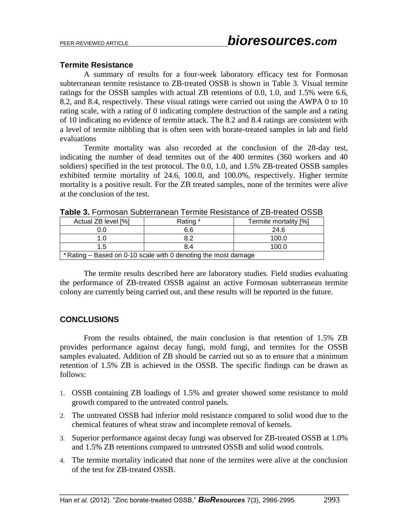#### **Termite Resistance**

A summary of results for a four-week laboratory efficacy test for Formosan subterranean termite resistance to ZB-treated OSSB is shown in Table 3. Visual termite ratings for the OSSB samples with actual ZB retentions of 0.0, 1.0, and 1.5% were 6.6, 8.2, and 8.4, respectively. These visual ratings were carried out using the AWPA 0 to 10 rating scale, with a rating of 0 indicating complete destruction of the sample and a rating of 10 indicating no evidence of termite attack. The 8.2 and 8.4 ratings are consistent with a level of termite nibbling that is often seen with borate-treated samples in lab and field evaluations

Termite mortality was also recorded at the conclusion of the 28-day test, indicating the number of dead termites out of the 400 termites (360 workers and 40 soldiers) specified in the test protocol. The 0.0, 1.0, and 1.5% ZB-treated OSSB samples exhibited termite mortality of 24.6, 100.0, and 100.0%, respectively. Higher termite mortality is a positive result. For the ZB treated samples, none of the termites were alive at the conclusion of the test.

| Actual ZB level [%]                                            | Rating * | Termite mortality [%] |  |  |  |  |  |
|----------------------------------------------------------------|----------|-----------------------|--|--|--|--|--|
| 0.0                                                            | 6.6      | 24.6                  |  |  |  |  |  |
| 1.0                                                            | 8.2      | 100.0                 |  |  |  |  |  |
| 1.5                                                            | 8.4      | 100.0                 |  |  |  |  |  |
| * Rating – Based on 0-10 scale with 0 denoting the most damage |          |                       |  |  |  |  |  |

**Table 3. Formosan Subterranean Termite Resistance of ZB-treated OSSB** 

The termite results described here are laboratory studies. Field studies evaluating the performance of ZB-treated OSSB against an active Formosan subterranean termite colony are currently being carried out, and these results will be reported in the future.

## **CONCLUSIONS**

From the results obtained, the main conclusion is that retention of 1.5% ZB provides performance against decay fungi, mold fungi, and termites for the OSSB samples evaluated. Addition of ZB should be carried out so as to ensure that a minimum retention of 1.5% ZB is achieved in the OSSB. The specific findings can be drawn as follows:

- 1. OSSB containing ZB loadings of 1.5% and greater showed some resistance to mold growth compared to the untreated control panels.
- 2. The untreated OSSB had inferior mold resistance compared to solid wood due to the chemical features of wheat straw and incomplete removal of kernels.
- 3. Superior performance against decay fungi was observed for ZB-treated OSSB at 1.0% and 1.5% ZB retentions compared to untreated OSSB and solid wood controls.
- 4. The termite mortality indicated that none of the termites were alive at the conclusion of the test for ZB-treated OSSB.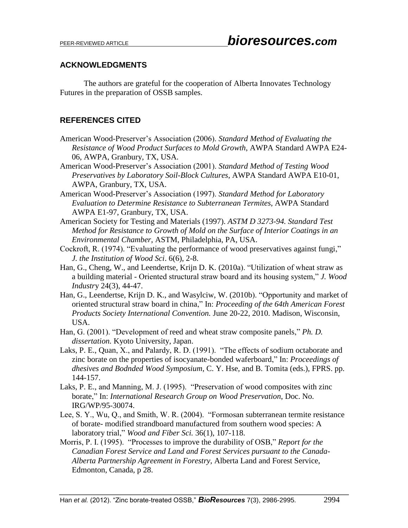## **ACKNOWLEDGMENTS**

The authors are grateful for the cooperation of Alberta Innovates Technology Futures in the preparation of OSSB samples.

## **REFERENCES CITED**

American Wood-Preserver's Association (2006). *Standard Method of Evaluating the Resistance of Wood Product Surfaces to Mold Growth*, AWPA Standard AWPA E24- 06, AWPA, Granbury, TX, USA.

American Wood-Preserver's Association (2001). *Standard Method of Testing Wood Preservatives by Laboratory Soil-Block Cultures*, AWPA Standard AWPA E10-01, AWPA, Granbury, TX, USA.

- American Wood-Preserver's Association (1997). *Standard Method for Laboratory Evaluation to Determine Resistance to Subterranean Termites*, AWPA Standard AWPA E1-97, Granbury, TX, USA.
- American Society for Testing and Materials (1997). *ASTM D 3273-94. Standard Test Method for Resistance to Growth of Mold on the Surface of Interior Coatings in an Environmental Chamber*, ASTM, Philadelphia, PA, USA.
- Cockroft, R. (1974). "Evaluating the performance of wood preservatives against fungi," *J. the Institution of Wood Sci*. 6(6), 2-8.
- Han, G., Cheng, W., and Leendertse, Krijn D. K. (2010a). "Utilization of wheat straw as a building material - Oriented structural straw board and its housing system," *J. Wood Industr*y 24(3), 44-47.
- Han, G., Leendertse, Krijn D. K., and Wasylciw, W. (2010b). "Opportunity and market of oriented structural straw board in china," In: *Proceeding of the 64th American Forest Products Society International Convention.* June 20-22, 2010. Madison, Wisconsin, USA.
- Han, G. (2001). "Development of reed and wheat straw composite panels," *Ph. D. dissertation.* Kyoto University, Japan.
- Laks, P. E., Quan, X., and Palardy, R. D. (1991). "The effects of sodium octaborate and zinc borate on the properties of isocyanate-bonded waferboard," In: *Proceedings of dhesives and Bodnded Wood Symposium*, C. Y. Hse, and B. Tomita (eds.), FPRS. pp. 144-157.
- Laks, P. E., and Manning, M. J. (1995). "Preservation of wood composites with zinc borate," In: *International Research Group on Wood Preservation*, Doc. No. IRG/WP/95-30074.
- Lee, S. Y., Wu, Q., and Smith, W. R. (2004). "Formosan subterranean termite resistance of borate- modified strandboard manufactured from southern wood species: A laboratory trial," *Wood and Fiber Sci.* 36(1), 107-118.
- Morris, P. I. (1995). "Processes to improve the durability of OSB," *Report for the Canadian Forest Service and Land and Forest Services pursuant to the Canada-Alberta Partnership Agreement in Forestry,* Alberta Land and Forest Service, Edmonton, Canada, p 28.